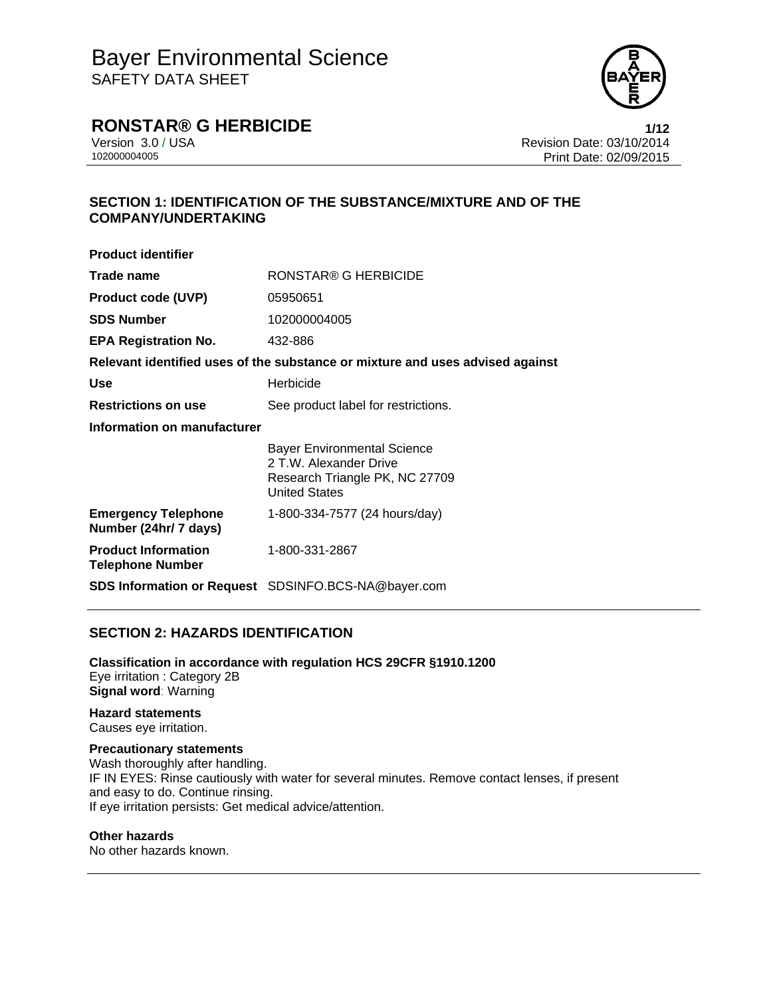

### **RONSTAR® G HERBICIDE 1/12**

Version 3.0 / USA **Version 3.0 / USA** Revision Date: 03/10/2014<br>10200004005 Print Date: 02/09/2015 Print Date: 02/09/2015

### **SECTION 1: IDENTIFICATION OF THE SUBSTANCE/MIXTURE AND OF THE COMPANY/UNDERTAKING**

| <b>Product identifier</b>                             |                                                                                                                        |
|-------------------------------------------------------|------------------------------------------------------------------------------------------------------------------------|
| Trade name                                            | RONSTAR® G HERBICIDE                                                                                                   |
| <b>Product code (UVP)</b>                             | 05950651                                                                                                               |
| <b>SDS Number</b>                                     | 102000004005                                                                                                           |
| <b>EPA Registration No.</b>                           | 432-886                                                                                                                |
|                                                       | Relevant identified uses of the substance or mixture and uses advised against                                          |
| <b>Use</b>                                            | Herbicide                                                                                                              |
| <b>Restrictions on use</b>                            | See product label for restrictions.                                                                                    |
| Information on manufacturer                           |                                                                                                                        |
|                                                       | <b>Bayer Environmental Science</b><br>2 T.W. Alexander Drive<br>Research Triangle PK, NC 27709<br><b>United States</b> |
| <b>Emergency Telephone</b><br>Number (24hr/ 7 days)   | 1-800-334-7577 (24 hours/day)                                                                                          |
| <b>Product Information</b><br><b>Telephone Number</b> | 1-800-331-2867                                                                                                         |
|                                                       | SDS Information or Request SDSINFO.BCS-NA@bayer.com                                                                    |

### **SECTION 2: HAZARDS IDENTIFICATION**

**Classification in accordance with regulation HCS 29CFR §1910.1200**  Eye irritation : Category 2B **Signal word**: Warning

**Hazard statements**  Causes eye irritation.

### **Precautionary statements**

Wash thoroughly after handling. IF IN EYES: Rinse cautiously with water for several minutes. Remove contact lenses, if present and easy to do. Continue rinsing. If eye irritation persists: Get medical advice/attention.

### **Other hazards**

No other hazards known.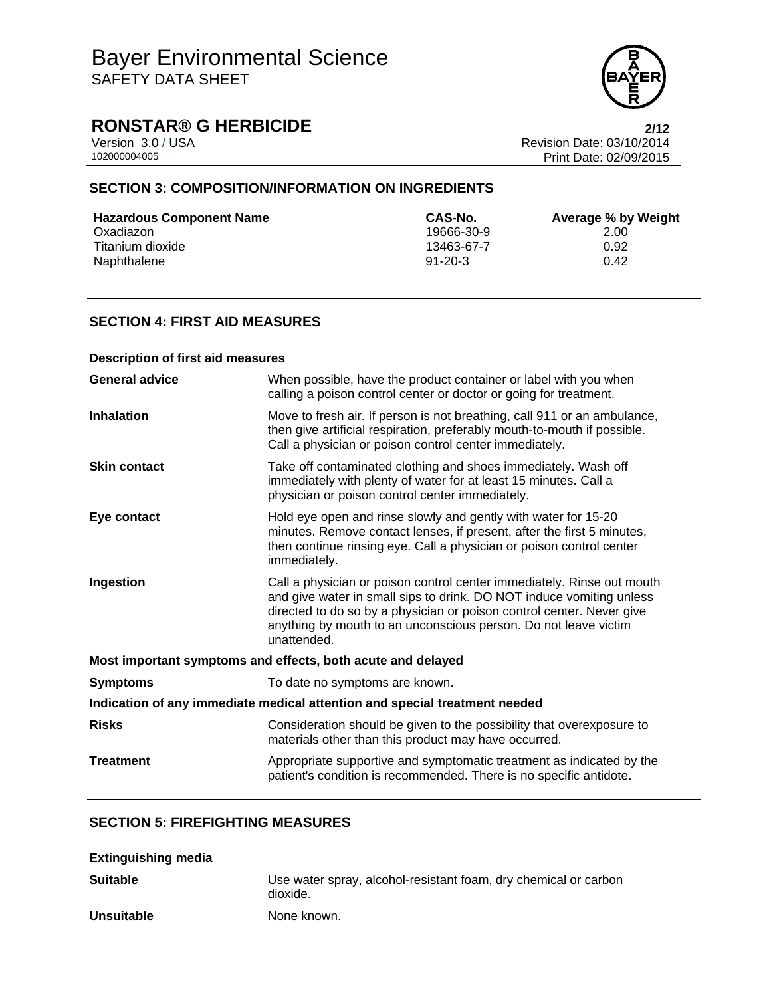

## **RONSTAR® G HERBICIDE**<br>Version 3.0 / USA **2/12**<br>Revision Date: 03/10/2014

Version 3.0 / USA Revision Date: 03/10/2014 Print Date: 02/09/2015

### **SECTION 3: COMPOSITION/INFORMATION ON INGREDIENTS**

| <b>Hazardous Component Name</b> | CAS-No.       | Average % by Weight |
|---------------------------------|---------------|---------------------|
| Oxadiazon                       | 19666-30-9    | 2.00                |
| Titanium dioxide                | 13463-67-7    | 0.92                |
| Naphthalene                     | $91 - 20 - 3$ | 0.42                |

### **SECTION 4: FIRST AID MEASURES**

| <b>Description of first aid measures</b>                                   |                                                                                                                                                                                                                                                                                                           |  |
|----------------------------------------------------------------------------|-----------------------------------------------------------------------------------------------------------------------------------------------------------------------------------------------------------------------------------------------------------------------------------------------------------|--|
| <b>General advice</b>                                                      | When possible, have the product container or label with you when<br>calling a poison control center or doctor or going for treatment.                                                                                                                                                                     |  |
| <b>Inhalation</b>                                                          | Move to fresh air. If person is not breathing, call 911 or an ambulance,<br>then give artificial respiration, preferably mouth-to-mouth if possible.<br>Call a physician or poison control center immediately.                                                                                            |  |
| <b>Skin contact</b>                                                        | Take off contaminated clothing and shoes immediately. Wash off<br>immediately with plenty of water for at least 15 minutes. Call a<br>physician or poison control center immediately.                                                                                                                     |  |
| Eye contact                                                                | Hold eye open and rinse slowly and gently with water for 15-20<br>minutes. Remove contact lenses, if present, after the first 5 minutes,<br>then continue rinsing eye. Call a physician or poison control center<br>immediately.                                                                          |  |
| Ingestion                                                                  | Call a physician or poison control center immediately. Rinse out mouth<br>and give water in small sips to drink. DO NOT induce vomiting unless<br>directed to do so by a physician or poison control center. Never give<br>anything by mouth to an unconscious person. Do not leave victim<br>unattended. |  |
| Most important symptoms and effects, both acute and delayed                |                                                                                                                                                                                                                                                                                                           |  |
| <b>Symptoms</b>                                                            | To date no symptoms are known.                                                                                                                                                                                                                                                                            |  |
| Indication of any immediate medical attention and special treatment needed |                                                                                                                                                                                                                                                                                                           |  |
| <b>Risks</b>                                                               | Consideration should be given to the possibility that overexposure to<br>materials other than this product may have occurred.                                                                                                                                                                             |  |
| <b>Treatment</b>                                                           | Appropriate supportive and symptomatic treatment as indicated by the<br>patient's condition is recommended. There is no specific antidote.                                                                                                                                                                |  |

### **SECTION 5: FIREFIGHTING MEASURES**

| <b>Extinguishing media</b> |                                                                             |
|----------------------------|-----------------------------------------------------------------------------|
| Suitable                   | Use water spray, alcohol-resistant foam, dry chemical or carbon<br>dioxide. |
| Unsuitable                 | None known.                                                                 |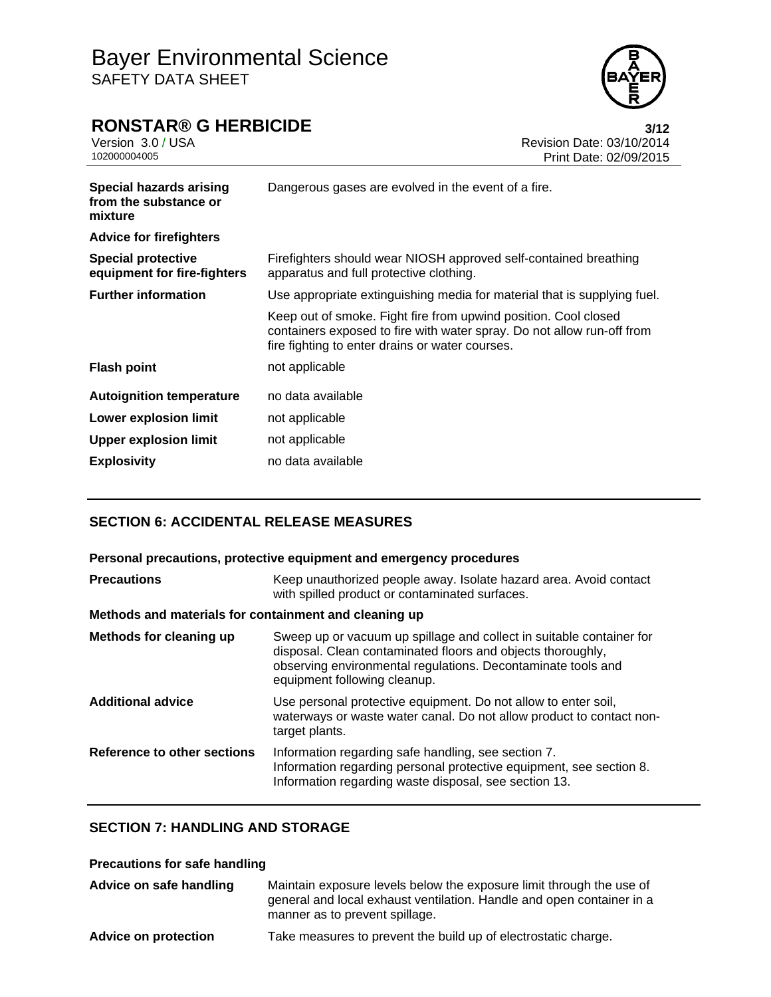

### **RONSTAR® G HERBICIDE 3/12**

Version 3.0 / USA **Version 3.0 / USA** Revision Date: 03/10/2014<br>10200004005 Print Date: 02/09/2015 Print Date: 02/09/2015 **Special hazards arising from the substance or mixture** Dangerous gases are evolved in the event of a fire. **Advice for firefighters Special protective equipment for fire-fighters** Firefighters should wear NIOSH approved self-contained breathing apparatus and full protective clothing. **Further information** Use appropriate extinguishing media for material that is supplying fuel. Keep out of smoke. Fight fire from upwind position. Cool closed containers exposed to fire with water spray. Do not allow run-off from fire fighting to enter drains or water courses. **Flash point** not applicable **Autoignition temperature** no data available **Lower explosion limit** not applicable **Upper explosion limit** not applicable **Explosivity** no data available

### **SECTION 6: ACCIDENTAL RELEASE MEASURES**

| Personal precautions, protective equipment and emergency procedures |                                                                                                                                                                                                                                     |  |
|---------------------------------------------------------------------|-------------------------------------------------------------------------------------------------------------------------------------------------------------------------------------------------------------------------------------|--|
| <b>Precautions</b>                                                  | Keep unauthorized people away. Isolate hazard area. Avoid contact<br>with spilled product or contaminated surfaces.                                                                                                                 |  |
| Methods and materials for containment and cleaning up               |                                                                                                                                                                                                                                     |  |
| Methods for cleaning up                                             | Sweep up or vacuum up spillage and collect in suitable container for<br>disposal. Clean contaminated floors and objects thoroughly,<br>observing environmental regulations. Decontaminate tools and<br>equipment following cleanup. |  |
| <b>Additional advice</b>                                            | Use personal protective equipment. Do not allow to enter soil,<br>waterways or waste water canal. Do not allow product to contact non-<br>target plants.                                                                            |  |
| Reference to other sections                                         | Information regarding safe handling, see section 7.<br>Information regarding personal protective equipment, see section 8.<br>Information regarding waste disposal, see section 13.                                                 |  |

### **SECTION 7: HANDLING AND STORAGE**

### **Precautions for safe handling**

| Advice on safe handling     | Maintain exposure levels below the exposure limit through the use of<br>general and local exhaust ventilation. Handle and open container in a<br>manner as to prevent spillage. |
|-----------------------------|---------------------------------------------------------------------------------------------------------------------------------------------------------------------------------|
| <b>Advice on protection</b> | Take measures to prevent the build up of electrostatic charge.                                                                                                                  |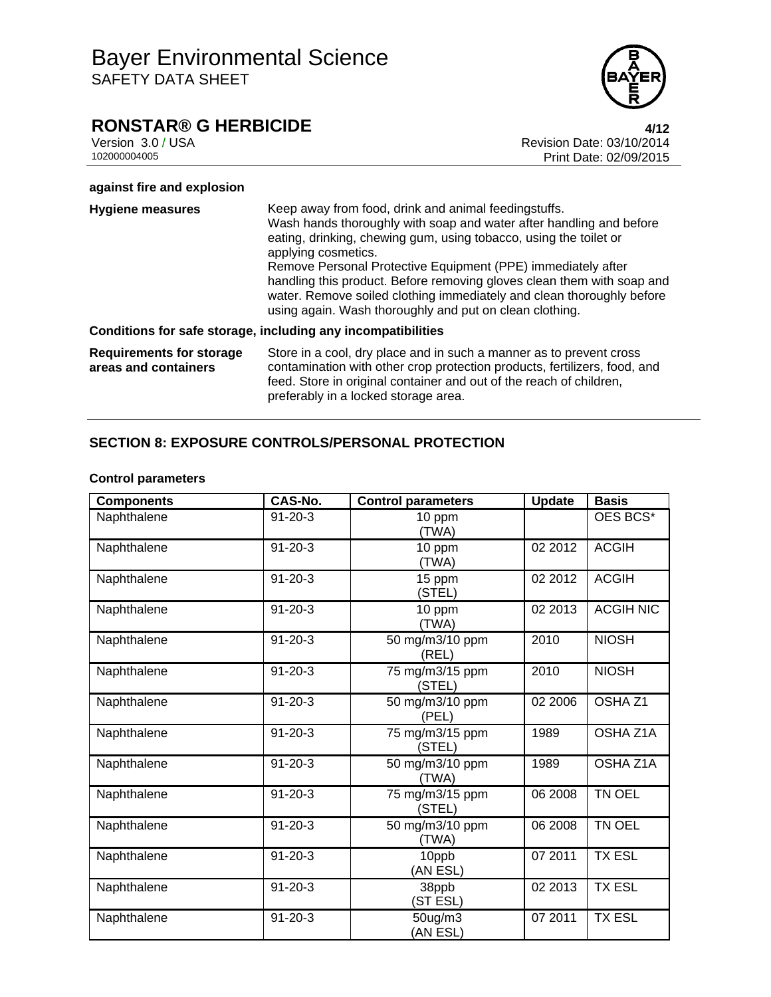## **RONSTAR® G HERBICIDE**<br>Version 3.0 / USA **4/12**<br>Revision Date: 03/10/2014

Version 3.0 / USA Revision Date: 03/10/2014 Print Date: 02/09/2015

### **against fire and explosion**

| <b>Hygiene measures</b>                                 | Keep away from food, drink and animal feedingstuffs.<br>Wash hands thoroughly with soap and water after handling and before<br>eating, drinking, chewing gum, using tobacco, using the toilet or<br>applying cosmetics.<br>Remove Personal Protective Equipment (PPE) immediately after<br>handling this product. Before removing gloves clean them with soap and<br>water. Remove soiled clothing immediately and clean thoroughly before<br>using again. Wash thoroughly and put on clean clothing. |
|---------------------------------------------------------|-------------------------------------------------------------------------------------------------------------------------------------------------------------------------------------------------------------------------------------------------------------------------------------------------------------------------------------------------------------------------------------------------------------------------------------------------------------------------------------------------------|
|                                                         | Conditions for safe storage, including any incompatibilities                                                                                                                                                                                                                                                                                                                                                                                                                                          |
| <b>Requirements for storage</b><br>areas and containers | Store in a cool, dry place and in such a manner as to prevent cross<br>contamination with other crop protection products, fertilizers, food, and<br>feed. Store in original container and out of the reach of children,<br>preferably in a locked storage area.                                                                                                                                                                                                                                       |

### **SECTION 8: EXPOSURE CONTROLS/PERSONAL PROTECTION**

| <b>Components</b> | CAS-No.       | <b>Control parameters</b> | <b>Update</b> | <b>Basis</b>       |
|-------------------|---------------|---------------------------|---------------|--------------------|
| Naphthalene       | $91 - 20 - 3$ | 10 ppm<br>(TWA)           |               | OES BCS*           |
| Naphthalene       | $91 - 20 - 3$ | 10 ppm<br>(TWA)           | 02 2012       | <b>ACGIH</b>       |
| Naphthalene       | $91 - 20 - 3$ | 15 ppm<br>(STEL)          | 02 2012       | <b>ACGIH</b>       |
| Naphthalene       | $91 - 20 - 3$ | 10 ppm<br>(TWA)           | 02 2013       | <b>ACGIH NIC</b>   |
| Naphthalene       | $91 - 20 - 3$ | 50 mg/m3/10 ppm<br>(REL)  | 2010          | <b>NIOSH</b>       |
| Naphthalene       | $91 - 20 - 3$ | 75 mg/m3/15 ppm<br>(STEL) | 2010          | <b>NIOSH</b>       |
| Naphthalene       | $91 - 20 - 3$ | 50 mg/m3/10 ppm<br>(PEL)  | 02 2006       | OSHA <sub>Z1</sub> |
| Naphthalene       | $91 - 20 - 3$ | 75 mg/m3/15 ppm<br>(STEL) | 1989          | OSHA Z1A           |
| Naphthalene       | $91 - 20 - 3$ | 50 mg/m3/10 ppm<br>(TWA)  | 1989          | OSHA Z1A           |
| Naphthalene       | $91 - 20 - 3$ | 75 mg/m3/15 ppm<br>(STEL) | 06 2008       | TN OEL             |
| Naphthalene       | $91 - 20 - 3$ | 50 mg/m3/10 ppm<br>(TWA)  | 06 2008       | TN OEL             |
| Naphthalene       | $91 - 20 - 3$ | 10ppb<br>(AN ESL)         | 07 2011       | <b>TX ESL</b>      |
| Naphthalene       | $91 - 20 - 3$ | 38ppb<br>(ST ESL)         | 02 2013       | <b>TX ESL</b>      |
| Naphthalene       | $91 - 20 - 3$ | 50ug/m3<br>(AN ESL)       | 07 2011       | <b>TX ESL</b>      |

### **Control parameters**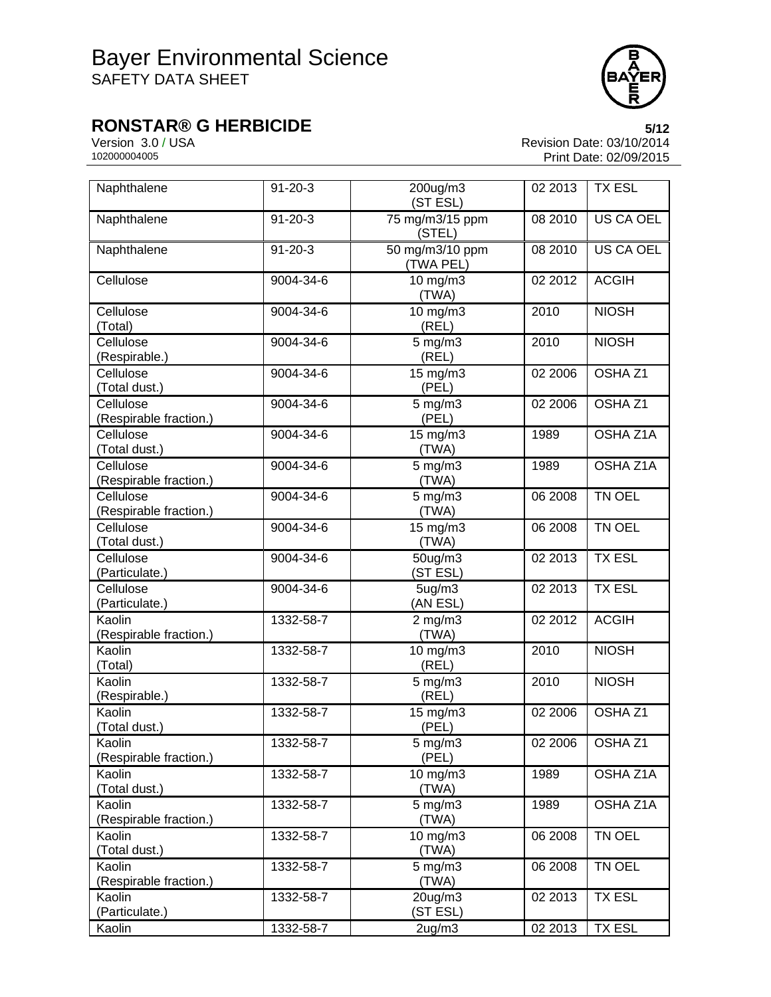

# **RONSTAR® G HERBICIDE**<br>Version 3.0 / USA **5/12**<br>Revision Date: 03/10/2014

Version 3.0 / USA Revision Date: 03/10/2014<br>10200004005 Print Date: 02/09/2015 Print Date: 02/09/2015

| Naphthalene                         | $91 - 20 - 3$ | 200ug/m3<br>(ST ESL)            | 02 2013 | <b>TX ESL</b>      |
|-------------------------------------|---------------|---------------------------------|---------|--------------------|
| Naphthalene                         | $91 - 20 - 3$ | 75 mg/m3/15 ppm<br>(STEL)       | 08 2010 | <b>US CA OEL</b>   |
| Naphthalene                         | $91 - 20 - 3$ | 50 mg/m3/10 ppm<br>(TWA PEL)    | 08 2010 | US CA OEL          |
| Cellulose                           | 9004-34-6     | 10 mg/m3<br>(TWA)               | 02 2012 | <b>ACGIH</b>       |
| Cellulose<br>(Total)                | 9004-34-6     | 10 mg/m3<br>(REL)               | 2010    | <b>NIOSH</b>       |
| Cellulose<br>(Respirable.)          | 9004-34-6     | $5$ mg/m $3$<br>(REL)           | 2010    | <b>NIOSH</b>       |
| Cellulose<br>(Total dust.)          | 9004-34-6     | 15 mg/m3<br>(PEL)               | 02 2006 | OSHA <sub>Z1</sub> |
| Cellulose<br>(Respirable fraction.) | 9004-34-6     | $5$ mg/m $3$<br>(PEL)           | 02 2006 | OSHA <sub>Z1</sub> |
| Cellulose<br>(Total dust.)          | 9004-34-6     | 15 mg/m3<br>(TWA)               | 1989    | <b>OSHA Z1A</b>    |
| Cellulose<br>(Respirable fraction.) | 9004-34-6     | $5$ mg/m $3$<br>(TWA)           | 1989    | OSHA Z1A           |
| Cellulose<br>(Respirable fraction.) | 9004-34-6     | $5$ mg/m $3$<br>(TWA)           | 06 2008 | TN OEL             |
| Cellulose<br>(Total dust.)          | 9004-34-6     | $15 \text{ mg/m}$ 3<br>(TWA)    | 06 2008 | TN OEL             |
| Cellulose<br>(Particulate.)         | 9004-34-6     | 50ug/m3<br>(ST ESL)             | 02 2013 | <b>TX ESL</b>      |
| Cellulose<br>(Particulate.)         | 9004-34-6     | 5 <sub>ug</sub> /m3<br>(AN ESL) | 02 2013 | <b>TX ESL</b>      |
| Kaolin<br>(Respirable fraction.)    | 1332-58-7     | $2$ mg/m $3$<br>(TWA)           | 02 2012 | <b>ACGIH</b>       |
| Kaolin<br>(Total)                   | 1332-58-7     | 10 mg/m3<br>(REL)               | 2010    | <b>NIOSH</b>       |
| Kaolin<br>(Respirable.)             | 1332-58-7     | $5$ mg/m $3$<br>(REL)           | 2010    | <b>NIOSH</b>       |
| Kaolin<br>(Total dust.)             | 1332-58-7     | $15 \text{ mg/m}$<br>(PEL)      | 02 2006 | OSHA <sub>Z1</sub> |
| Kaolin<br>(Respirable fraction.)    | 1332-58-7     | 5 mg/m3<br>(PEL)                | 022006  | OSHA Z1            |
| Kaolin<br>(Total dust.)             | 1332-58-7     | 10 mg/m3<br>(TWA)               | 1989    | OSHA Z1A           |
| Kaolin<br>(Respirable fraction.)    | 1332-58-7     | $5 \text{ mg/m}$<br>(TWA)       | 1989    | OSHA Z1A           |
| Kaolin<br>(Total dust.)             | 1332-58-7     | $10$ mg/m $3$<br>(TWA)          | 06 2008 | TN OEL             |
| Kaolin<br>(Respirable fraction.)    | 1332-58-7     | $5$ mg/m $3$<br>(TWA)           | 06 2008 | TN OEL             |
| Kaolin<br>(Particulate.)            | 1332-58-7     | $20$ ug/m $3$<br>(ST ESL)       | 02 2013 | <b>TX ESL</b>      |
| Kaolin                              | 1332-58-7     | 2 <sub>ug</sub> /m3             | 02 2013 | <b>TX ESL</b>      |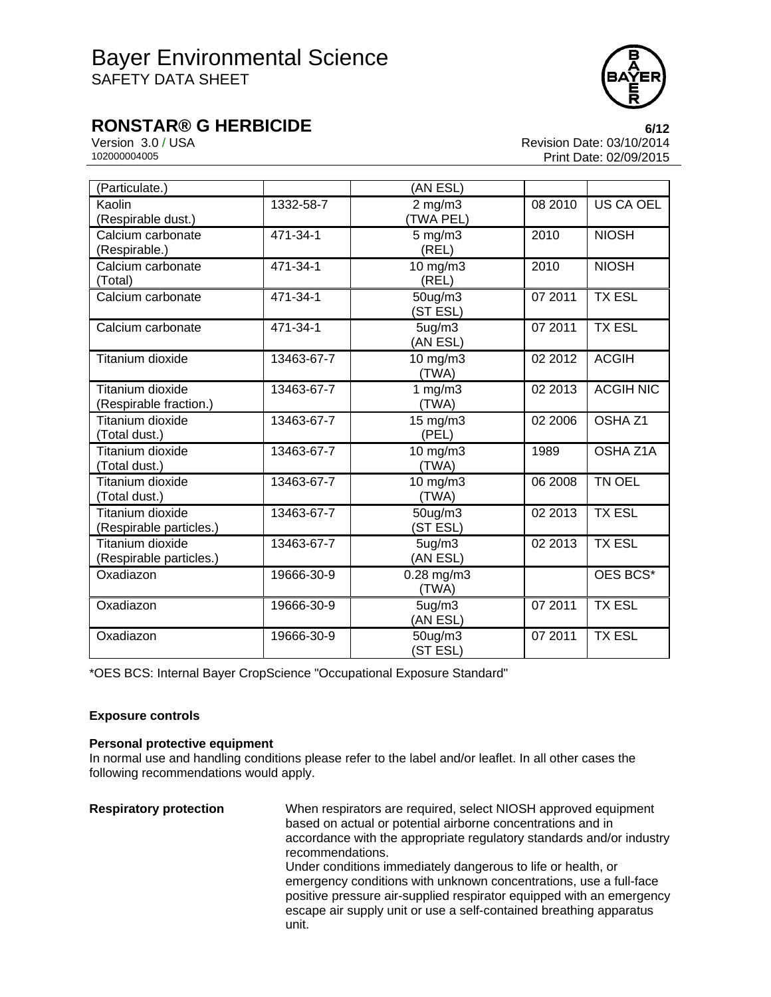

### **RONSTAR® G HERBICIDE 6/12**

Version 3.0 / USA **Version 3.0 / USA** Revision Date: 03/10/2014<br>10200004005 Print Date: 02/09/2015 Print Date: 02/09/2015

| (Particulate.)                              |                | (AN ESL)                        |         |                    |
|---------------------------------------------|----------------|---------------------------------|---------|--------------------|
| Kaolin<br>(Respirable dust.)                | 1332-58-7      | $2$ mg/m $3$<br><b>TWA PEL)</b> | 08 2010 | US CA OEL          |
| Calcium carbonate<br>(Respirable.)          | 471-34-1       | $5$ mg/m $3$<br>(REL)           | 2010    | <b>NIOSH</b>       |
| Calcium carbonate<br>(Total)                | $471 - 34 - 1$ | 10 mg/m3<br>(REL)               | 2010    | <b>NIOSH</b>       |
| Calcium carbonate                           | 471-34-1       | 50ug/m3<br>(ST ESL)             | 07 2011 | <b>TX ESL</b>      |
| Calcium carbonate                           | 471-34-1       | 5ug/m3<br>(AN ESL)              | 07 2011 | <b>TX ESL</b>      |
| Titanium dioxide                            | 13463-67-7     | 10 mg/m3<br>(TWA)               | 02 2012 | <b>ACGIH</b>       |
| Titanium dioxide<br>(Respirable fraction.)  | 13463-67-7     | 1 $mg/m3$<br>(TWA)              | 02 2013 | <b>ACGIH NIC</b>   |
| Titanium dioxide<br>(Total dust.)           | 13463-67-7     | $15$ mg/m $3$<br>(PEL)          | 02 2006 | OSHA <sub>Z1</sub> |
| Titanium dioxide<br>(Total dust.)           | 13463-67-7     | 10 mg/m3<br>(TWA)               | 1989    | OSHA Z1A           |
| Titanium dioxide<br>(Total dust.)           | 13463-67-7     | 10 mg/m3<br>(TWA)               | 06 2008 | TN OEL             |
| Titanium dioxide<br>(Respirable particles.) | 13463-67-7     | 50ug/m3<br>(ST ESL)             | 02 2013 | <b>TX ESL</b>      |
| Titanium dioxide<br>(Respirable particles.) | 13463-67-7     | 5ug/m3<br>(AN ESL)              | 02 2013 | <b>TX ESL</b>      |
| Oxadiazon                                   | 19666-30-9     | $0.28$ mg/m $3$<br>(TWA)        |         | OES BCS*           |
| Oxadiazon                                   | 19666-30-9     | 5 <sub>ug</sub> /m3<br>(AN ESL) | 07 2011 | <b>TX ESL</b>      |
| Oxadiazon                                   | 19666-30-9     | 50ug/m3<br>(ST ESL)             | 07 2011 | <b>TX ESL</b>      |

\*OES BCS: Internal Bayer CropScience "Occupational Exposure Standard"

### **Exposure controls**

### **Personal protective equipment**

In normal use and handling conditions please refer to the label and/or leaflet. In all other cases the following recommendations would apply.

**Respiratory protection** When respirators are required, select NIOSH approved equipment based on actual or potential airborne concentrations and in accordance with the appropriate regulatory standards and/or industry recommendations. Under conditions immediately dangerous to life or health, or emergency conditions with unknown concentrations, use a full-face positive pressure air-supplied respirator equipped with an emergency escape air supply unit or use a self-contained breathing apparatus unit.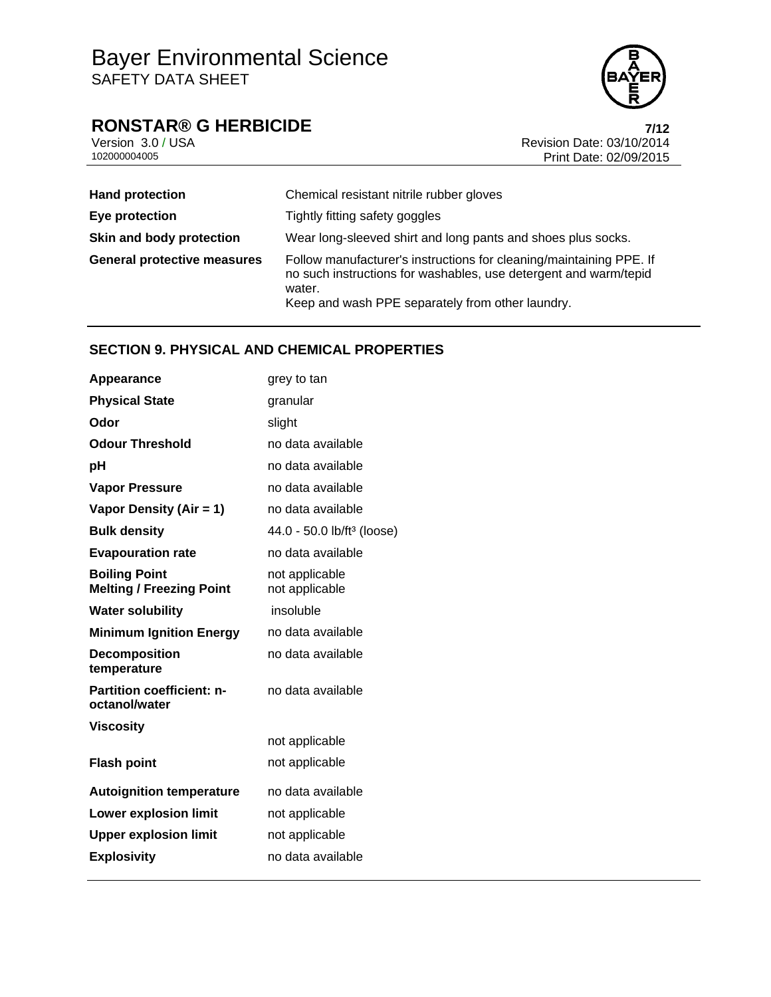

## **RONSTAR® G HERBICIDE**<br>Version 3.0 / USA **Propose and Security Revision Date: 03/10/2014**

Version 3.0 / USA Revision Date: 03/10/2014<br>10200004005 Print Date: 02/09/2015 Print Date: 02/09/2015

| <b>Hand protection</b>             | Chemical resistant nitrile rubber gloves                                                                                                                                                              |
|------------------------------------|-------------------------------------------------------------------------------------------------------------------------------------------------------------------------------------------------------|
| Eye protection                     | Tightly fitting safety goggles                                                                                                                                                                        |
| Skin and body protection           | Wear long-sleeved shirt and long pants and shoes plus socks.                                                                                                                                          |
| <b>General protective measures</b> | Follow manufacturer's instructions for cleaning/maintaining PPE. If<br>no such instructions for washables, use detergent and warm/tepid<br>water.<br>Keep and wash PPE separately from other laundry. |

### **SECTION 9. PHYSICAL AND CHEMICAL PROPERTIES**

| Appearance                                              | grey to tan                            |
|---------------------------------------------------------|----------------------------------------|
| <b>Physical State</b>                                   | granular                               |
| Odor                                                    | slight                                 |
| <b>Odour Threshold</b>                                  | no data available                      |
| рH                                                      | no data available                      |
| <b>Vapor Pressure</b>                                   | no data available                      |
| Vapor Density (Air = 1)                                 | no data available                      |
| <b>Bulk density</b>                                     | 44.0 - 50.0 lb/ft <sup>3</sup> (loose) |
| <b>Evapouration rate</b>                                | no data available                      |
| <b>Boiling Point</b><br><b>Melting / Freezing Point</b> | not applicable<br>not applicable       |
| <b>Water solubility</b>                                 | insoluble                              |
| <b>Minimum Ignition Energy</b>                          | no data available                      |
| <b>Decomposition</b><br>temperature                     | no data available                      |
| <b>Partition coefficient: n-</b><br>octanol/water       | no data available                      |
| <b>Viscosity</b>                                        |                                        |
|                                                         | not applicable                         |
| <b>Flash point</b>                                      | not applicable                         |
| <b>Autoignition temperature</b>                         | no data available                      |
| <b>Lower explosion limit</b>                            | not applicable                         |
| <b>Upper explosion limit</b>                            | not applicable                         |
| <b>Explosivity</b>                                      | no data available                      |
|                                                         |                                        |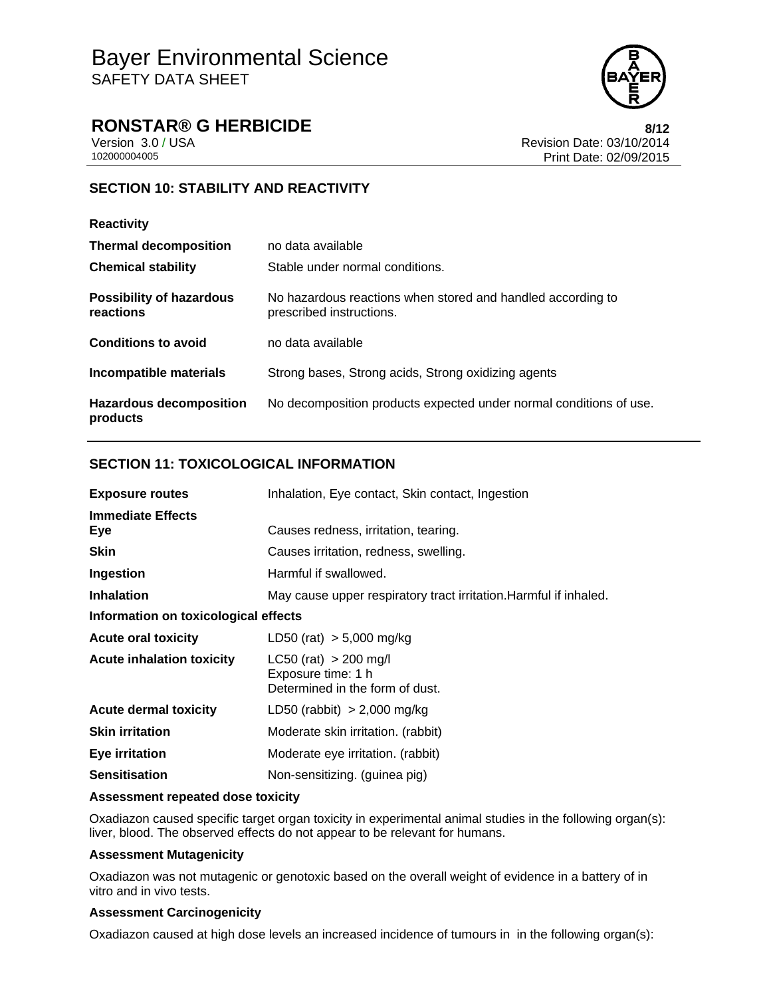

### **RONSTAR® G HERBICIDE 8/12**

Version 3.0 / USA **Version 3.0 / USA** Revision Date: 03/10/2014<br>10200004005 Print Date: 02/09/2015 Print Date: 02/09/2015

### **SECTION 10: STABILITY AND REACTIVITY**

| <b>Reactivity</b>                            |                                                                                         |
|----------------------------------------------|-----------------------------------------------------------------------------------------|
| <b>Thermal decomposition</b>                 | no data available                                                                       |
| <b>Chemical stability</b>                    | Stable under normal conditions.                                                         |
| <b>Possibility of hazardous</b><br>reactions | No hazardous reactions when stored and handled according to<br>prescribed instructions. |
| <b>Conditions to avoid</b>                   | no data available                                                                       |
| Incompatible materials                       | Strong bases, Strong acids, Strong oxidizing agents                                     |
| <b>Hazardous decomposition</b><br>products   | No decomposition products expected under normal conditions of use.                      |

### **SECTION 11: TOXICOLOGICAL INFORMATION**

| <b>Exposure routes</b>               | Inhalation, Eye contact, Skin contact, Ingestion                                 |  |  |
|--------------------------------------|----------------------------------------------------------------------------------|--|--|
| <b>Immediate Effects</b><br>Eye      | Causes redness, irritation, tearing.                                             |  |  |
| <b>Skin</b>                          | Causes irritation, redness, swelling.                                            |  |  |
| Ingestion                            | Harmful if swallowed.                                                            |  |  |
| <b>Inhalation</b>                    | May cause upper respiratory tract irritation. Harmful if inhaled.                |  |  |
| Information on toxicological effects |                                                                                  |  |  |
| <b>Acute oral toxicity</b>           | LD50 (rat) $> 5,000$ mg/kg                                                       |  |  |
| <b>Acute inhalation toxicity</b>     | $LC50$ (rat) > 200 mg/l<br>Exposure time: 1 h<br>Determined in the form of dust. |  |  |
| <b>Acute dermal toxicity</b>         | LD50 (rabbit) $> 2,000$ mg/kg                                                    |  |  |
| <b>Skin irritation</b>               | Moderate skin irritation. (rabbit)                                               |  |  |
| <b>Eye irritation</b>                | Moderate eye irritation. (rabbit)                                                |  |  |
| <b>Sensitisation</b>                 | Non-sensitizing. (guinea pig)                                                    |  |  |

### **Assessment repeated dose toxicity**

Oxadiazon caused specific target organ toxicity in experimental animal studies in the following organ(s): liver, blood. The observed effects do not appear to be relevant for humans.

### **Assessment Mutagenicity**

Oxadiazon was not mutagenic or genotoxic based on the overall weight of evidence in a battery of in vitro and in vivo tests.

### **Assessment Carcinogenicity**

Oxadiazon caused at high dose levels an increased incidence of tumours in in the following organ(s):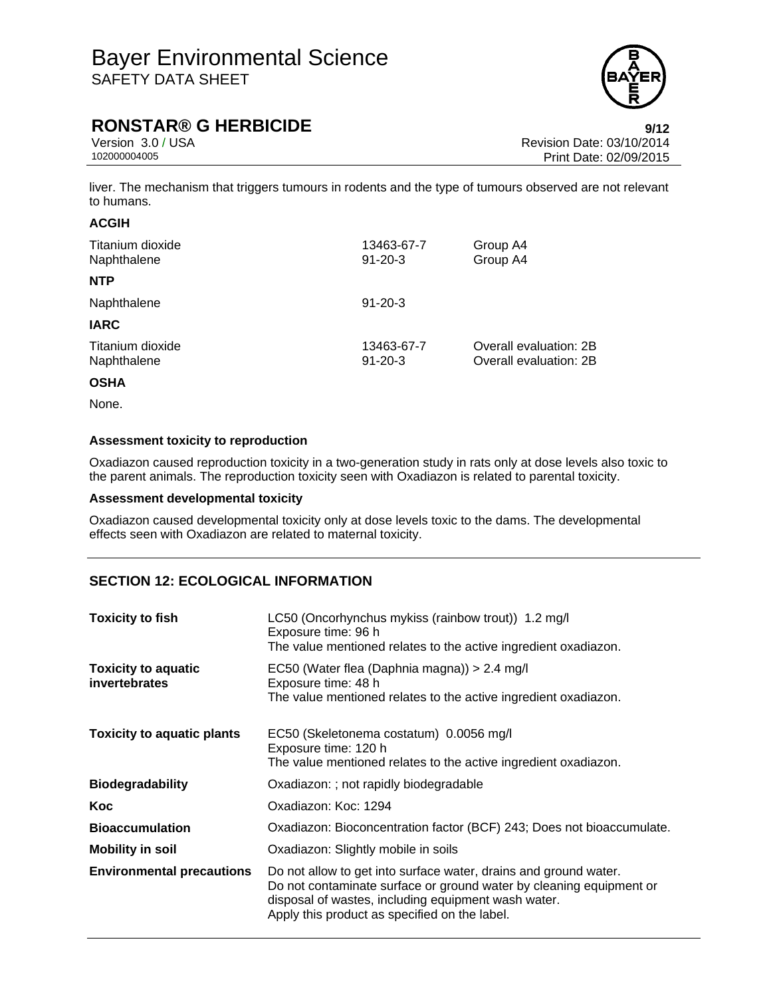

### **RONSTAR® G HERBICIDE 9/12**

Version 3.0 / USA **Version 3.0 / USA** Revision Date: 03/10/2014<br>10200004005 Print Date: 02/09/2015 Print Date: 02/09/2015

liver. The mechanism that triggers tumours in rodents and the type of tumours observed are not relevant to humans.

### **ACGIH**

| Titanium dioxide<br>Naphthalene | 13463-67-7<br>$91 - 20 - 3$ | Group A4<br>Group A4                             |
|---------------------------------|-----------------------------|--------------------------------------------------|
| <b>NTP</b>                      |                             |                                                  |
| Naphthalene                     | $91 - 20 - 3$               |                                                  |
| <b>IARC</b>                     |                             |                                                  |
| Titanium dioxide<br>Naphthalene | 13463-67-7<br>$91 - 20 - 3$ | Overall evaluation: 2B<br>Overall evaluation: 2B |
|                                 |                             |                                                  |

### **OSHA**

None.

### **Assessment toxicity to reproduction**

Oxadiazon caused reproduction toxicity in a two-generation study in rats only at dose levels also toxic to the parent animals. The reproduction toxicity seen with Oxadiazon is related to parental toxicity.

### **Assessment developmental toxicity**

Oxadiazon caused developmental toxicity only at dose levels toxic to the dams. The developmental effects seen with Oxadiazon are related to maternal toxicity.

### **SECTION 12: ECOLOGICAL INFORMATION**

| <b>Toxicity to fish</b>                     | LC50 (Oncorhynchus mykiss (rainbow trout)) 1.2 mg/l<br>Exposure time: 96 h<br>The value mentioned relates to the active ingredient oxadiazon.                                                                                                   |  |
|---------------------------------------------|-------------------------------------------------------------------------------------------------------------------------------------------------------------------------------------------------------------------------------------------------|--|
| <b>Toxicity to aquatic</b><br>invertebrates | EC50 (Water flea (Daphnia magna)) > 2.4 mg/l<br>Exposure time: 48 h<br>The value mentioned relates to the active ingredient oxadiazon.                                                                                                          |  |
| <b>Toxicity to aquatic plants</b>           | EC50 (Skeletonema costatum) 0.0056 mg/l<br>Exposure time: 120 h<br>The value mentioned relates to the active ingredient oxadiazon.                                                                                                              |  |
| <b>Biodegradability</b>                     | Oxadiazon: ; not rapidly biodegradable                                                                                                                                                                                                          |  |
| Koc                                         | Oxadiazon: Koc: 1294                                                                                                                                                                                                                            |  |
| <b>Bioaccumulation</b>                      | Oxadiazon: Bioconcentration factor (BCF) 243; Does not bioaccumulate.                                                                                                                                                                           |  |
| <b>Mobility in soil</b>                     | Oxadiazon: Slightly mobile in soils                                                                                                                                                                                                             |  |
| <b>Environmental precautions</b>            | Do not allow to get into surface water, drains and ground water.<br>Do not contaminate surface or ground water by cleaning equipment or<br>disposal of wastes, including equipment wash water.<br>Apply this product as specified on the label. |  |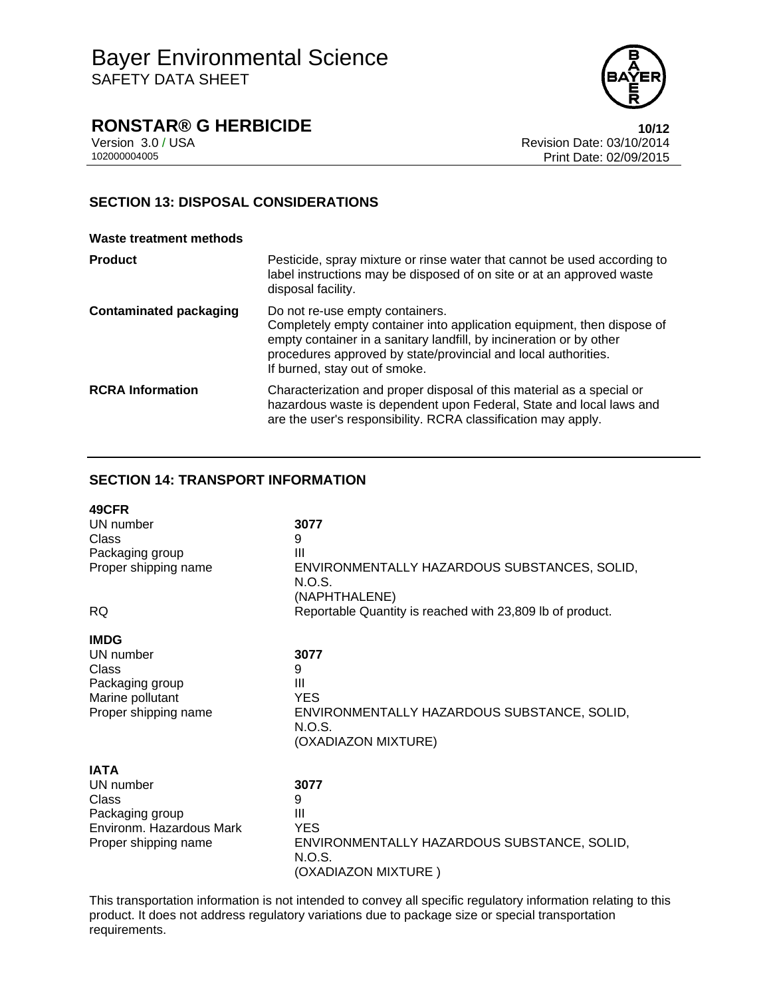

### **RONSTAR® G HERBICIDE 10/12**

Version 3.0 / USA Revision Date: 03/10/2014 Print Date: 02/09/2015

### **SECTION 13: DISPOSAL CONSIDERATIONS**

| <b>Waste treatment methods</b> |                                                                                                                                                                                                                                                                                     |
|--------------------------------|-------------------------------------------------------------------------------------------------------------------------------------------------------------------------------------------------------------------------------------------------------------------------------------|
| <b>Product</b>                 | Pesticide, spray mixture or rinse water that cannot be used according to<br>label instructions may be disposed of on site or at an approved waste<br>disposal facility.                                                                                                             |
| <b>Contaminated packaging</b>  | Do not re-use empty containers.<br>Completely empty container into application equipment, then dispose of<br>empty container in a sanitary landfill, by incineration or by other<br>procedures approved by state/provincial and local authorities.<br>If burned, stay out of smoke. |
| <b>RCRA Information</b>        | Characterization and proper disposal of this material as a special or<br>hazardous waste is dependent upon Federal, State and local laws and<br>are the user's responsibility. RCRA classification may apply.                                                                       |

### **SECTION 14: TRANSPORT INFORMATION**

| 49CFR                    |                                                                         |
|--------------------------|-------------------------------------------------------------------------|
| UN number                | 3077                                                                    |
| Class                    | 9                                                                       |
| Packaging group          | Ш                                                                       |
| Proper shipping name     | ENVIRONMENTALLY HAZARDOUS SUBSTANCES, SOLID,<br>N.O.S.<br>(NAPHTHALENE) |
| <b>RQ</b>                | Reportable Quantity is reached with 23,809 lb of product.               |
| <b>IMDG</b>              |                                                                         |
| UN number                | 3077                                                                    |
| Class                    | 9                                                                       |
| Packaging group          | Ш                                                                       |
| Marine pollutant         | <b>YES</b>                                                              |
| Proper shipping name     | ENVIRONMENTALLY HAZARDOUS SUBSTANCE, SOLID,                             |
|                          | N.O.S.                                                                  |
|                          | (OXADIAZON MIXTURE)                                                     |
| <b>IATA</b>              |                                                                         |
| UN number                | 3077                                                                    |
| Class                    | 9                                                                       |
| Packaging group          | Ш                                                                       |
| Environm. Hazardous Mark | <b>YES</b>                                                              |
| Proper shipping name     | ENVIRONMENTALLY HAZARDOUS SUBSTANCE, SOLID,<br>N.O.S.                   |
|                          | (OXADIAZON MIXTURE)                                                     |

This transportation information is not intended to convey all specific regulatory information relating to this product. It does not address regulatory variations due to package size or special transportation requirements.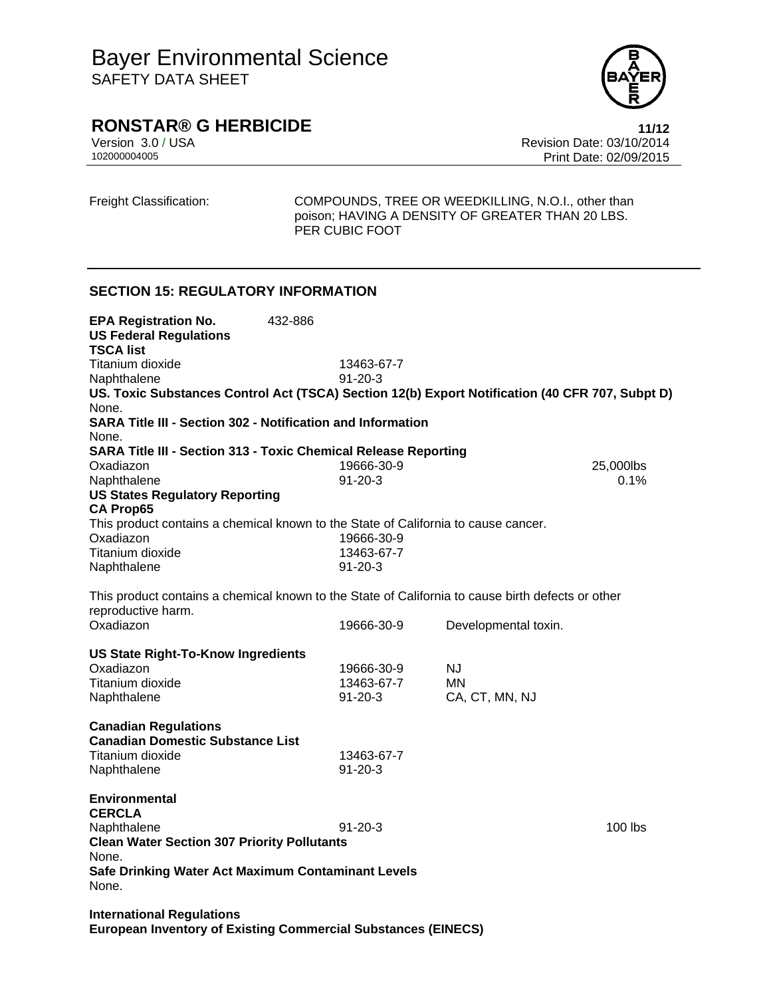

## **RONSTAR® G HERBICIDE 11/12**

Version 3.0 / USA Revision Date: 03/10/2014<br>10200004005 Print Date: 02/09/2015 Print Date: 02/09/2015

Freight Classification: COMPOUNDS, TREE OR WEEDKILLING, N.O.I., other than poison; HAVING A DENSITY OF GREATER THAN 20 LBS. PER CUBIC FOOT

### **SECTION 15: REGULATORY INFORMATION**

| <b>EPA Registration No.</b><br><b>US Federal Regulations</b>                                                            | 432-886 |               |                      |           |
|-------------------------------------------------------------------------------------------------------------------------|---------|---------------|----------------------|-----------|
| <b>TSCA list</b>                                                                                                        |         |               |                      |           |
| Titanium dioxide                                                                                                        |         | 13463-67-7    |                      |           |
| Naphthalene                                                                                                             |         | $91 - 20 - 3$ |                      |           |
| US. Toxic Substances Control Act (TSCA) Section 12(b) Export Notification (40 CFR 707, Subpt D)                         |         |               |                      |           |
| None.                                                                                                                   |         |               |                      |           |
| <b>SARA Title III - Section 302 - Notification and Information</b>                                                      |         |               |                      |           |
| None.                                                                                                                   |         |               |                      |           |
| <b>SARA Title III - Section 313 - Toxic Chemical Release Reporting</b>                                                  |         |               |                      |           |
| Oxadiazon                                                                                                               |         | 19666-30-9    |                      | 25,000lbs |
| Naphthalene                                                                                                             |         | $91 - 20 - 3$ |                      | 0.1%      |
| <b>US States Regulatory Reporting</b>                                                                                   |         |               |                      |           |
| <b>CA Prop65</b>                                                                                                        |         |               |                      |           |
| This product contains a chemical known to the State of California to cause cancer.                                      |         |               |                      |           |
| Oxadiazon                                                                                                               |         | 19666-30-9    |                      |           |
| Titanium dioxide                                                                                                        |         | 13463-67-7    |                      |           |
| Naphthalene                                                                                                             |         | $91 - 20 - 3$ |                      |           |
| This product contains a chemical known to the State of California to cause birth defects or other<br>reproductive harm. |         |               |                      |           |
| Oxadiazon                                                                                                               |         | 19666-30-9    | Developmental toxin. |           |
| <b>US State Right-To-Know Ingredients</b>                                                                               |         |               |                      |           |
| Oxadiazon                                                                                                               |         | 19666-30-9    | NJ.                  |           |
| Titanium dioxide                                                                                                        |         | 13463-67-7    | MN                   |           |
| Naphthalene                                                                                                             |         | $91 - 20 - 3$ | CA, CT, MN, NJ       |           |
| <b>Canadian Regulations</b><br><b>Canadian Domestic Substance List</b>                                                  |         |               |                      |           |
| Titanium dioxide                                                                                                        |         | 13463-67-7    |                      |           |
| Naphthalene                                                                                                             |         | $91 - 20 - 3$ |                      |           |
| <b>Environmental</b><br><b>CERCLA</b><br>Naphthalene                                                                    |         | $91 - 20 - 3$ |                      | $100$ lbs |
| <b>Clean Water Section 307 Priority Pollutants</b>                                                                      |         |               |                      |           |
| None.                                                                                                                   |         |               |                      |           |
| Safe Drinking Water Act Maximum Contaminant Levels<br>None.                                                             |         |               |                      |           |
| $\sim$ $\sim$ $\sim$ $\sim$ $\sim$ $\sim$                                                                               |         |               |                      |           |

**International Regulations European Inventory of Existing Commercial Substances (EINECS)**